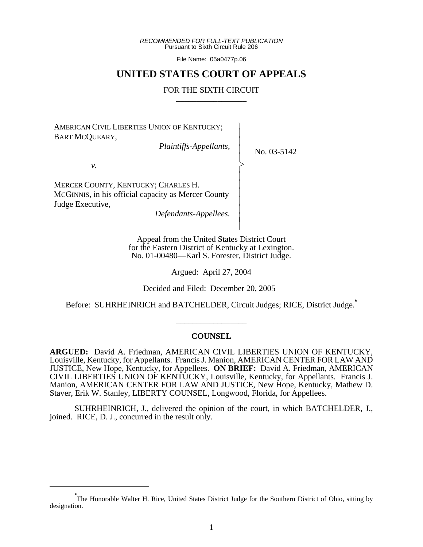*RECOMMENDED FOR FULL-TEXT PUBLICATION* Pursuant to Sixth Circuit Rule 206

File Name: 05a0477p.06

# **UNITED STATES COURT OF APPEALS**

### FOR THE SIXTH CIRCUIT

 $\overline{\phantom{a}}$ - - - -  $\succ$ |<br>|<br>| - - - - - - N

AMERICAN CIVIL LIBERTIES UNION OF KENTUCKY; BART MCQUEARY,

*Plaintiffs-Appellants,*

No. 03-5142

*v.*

MERCER COUNTY, KENTUCKY; CHARLES H. MCGINNIS, in his official capacity as Mercer County Judge Executive,

*Defendants-Appellees.*

Appeal from the United States District Court for the Eastern District of Kentucky at Lexington. No. 01-00480—Karl S. Forester, District Judge.

Argued: April 27, 2004

Decided and Filed: December 20, 2005

Before: SUHRHEINRICH and BATCHELDER, Circuit Judges; RICE, District Judge.**\***

\_\_\_\_\_\_\_\_\_\_\_\_\_\_\_\_\_

### **COUNSEL**

**ARGUED:** David A. Friedman, AMERICAN CIVIL LIBERTIES UNION OF KENTUCKY, Louisville, Kentucky, for Appellants. Francis J. Manion, AMERICAN CENTER FOR LAW AND JUSTICE, New Hope, Kentucky, for Appellees. **ON BRIEF:** David A. Friedman, AMERICAN CIVIL LIBERTIES UNION OF KENTUCKY, Louisville, Kentucky, for Appellants. Francis J. Manion, AMERICAN CENTER FOR LAW AND JUSTICE, New Hope, Kentucky, Mathew D. Staver, Erik W. Stanley, LIBERTY COUNSEL, Longwood, Florida, for Appellees.

SUHRHEINRICH, J., delivered the opinion of the court, in which BATCHELDER, J., joined. RICE, D. J., concurred in the result only.

<sup>\*&</sup>lt;br>The Honorable Walter H. Rice, United States District Judge for the Southern District of Ohio, sitting by designation.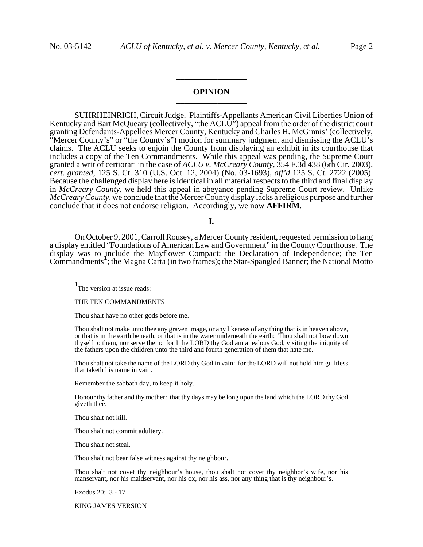## **OPINION \_\_\_\_\_\_\_\_\_\_\_\_\_\_\_\_\_**

**\_\_\_\_\_\_\_\_\_\_\_\_\_\_\_\_\_**

SUHRHEINRICH, Circuit Judge. Plaintiffs-Appellants American Civil Liberties Union of Kentucky and Bart McQueary (collectively, "the ACLU") appeal from the order of the district court granting Defendants-Appellees Mercer County, Kentucky and Charles H. McGinnis' (collectively, "Mercer County's" or "the County's") motion for summary judgment and dismissing the ACLU's claims. The ACLU seeks to enjoin the County from displaying an exhibit in its courthouse that includes a copy of the Ten Commandments. While this appeal was pending, the Supreme Court granted a writ of certiorari in the case of *ACLU v. McCreary County*, 354 F.3d 438 (6th Cir. 2003), *cert. granted*, 125 S. Ct. 310 (U.S. Oct. 12, 2004) (No. 03-1693), *aff'd* 125 S. Ct. 2722 (2005). Because the challenged display here is identical in all material respects to the third and final display in *McCreary County*, we held this appeal in abeyance pending Supreme Court review. Unlike *McCreary County*, we conclude that the Mercer County display lacks a religious purpose and further conclude that it does not endorse religion. Accordingly, we now **AFFIRM**.

**I.**

On October 9, 2001, Carroll Rousey, a Mercer County resident, requested permission to hang a display entitled "Foundations of American Law and Government" in the County Courthouse. The display was to include the Mayflower Compact; the Declaration of Independence; the Ten Commandments**<sup>1</sup>** ; the Magna Carta (in two frames); the Star-Spangled Banner; the National Motto

**1** The version at issue reads:

THE TEN COMMANDMENTS

Thou shalt have no other gods before me.

Thou shalt not make unto thee any graven image, or any likeness of any thing that is in heaven above, or that is in the earth beneath, or that is in the water underneath the earth: Thou shalt not bow down thyself to them, nor serve them: for I the LORD thy God am a jealous God, visiting the iniquity of the fathers upon the children unto the third and fourth generation of them that hate me.

Thou shalt not take the name of the LORD thy God in vain: for the LORD will not hold him guiltless that taketh his name in vain.

Remember the sabbath day, to keep it holy.

Honour thy father and thy mother: that thy days may be long upon the land which the LORD thy God giveth thee.

Thou shalt not kill.

Thou shalt not commit adultery.

Thou shalt not steal.

Thou shalt not bear false witness against thy neighbour.

Thou shalt not covet thy neighbour's house, thou shalt not covet thy neighbor's wife, nor his manservant, nor his maidservant, nor his ox, nor his ass, nor any thing that is thy neighbour's.

Exodus 20: 3 - 17

KING JAMES VERSION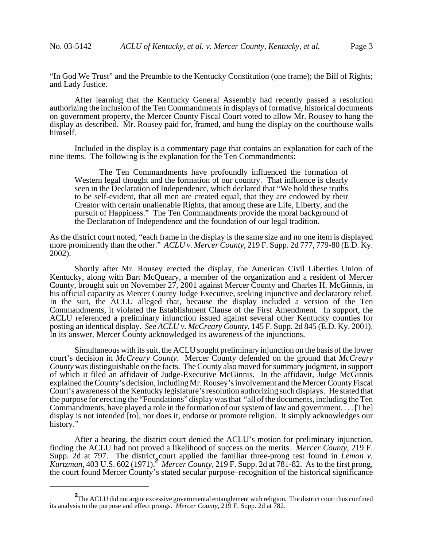"In God We Trust" and the Preamble to the Kentucky Constitution (one frame); the Bill of Rights; and Lady Justice.

After learning that the Kentucky General Assembly had recently passed a resolution authorizing the inclusion of the Ten Commandments in displays of formative, historical documents on government property, the Mercer County Fiscal Court voted to allow Mr. Rousey to hang the display as described. Mr. Rousey paid for, framed, and hung the display on the courthouse walls himself.

Included in the display is a commentary page that contains an explanation for each of the nine items. The following is the explanation for the Ten Commandments:

The Ten Commandments have profoundly influenced the formation of Western legal thought and the formation of our country. That influence is clearly seen in the Declaration of Independence, which declared that "We hold these truths to be self-evident, that all men are created equal, that they are endowed by their Creator with certain unalienable Rights, that among these are Life, Liberty, and the pursuit of Happiness." The Ten Commandments provide the moral background of the Declaration of Independence and the foundation of our legal tradition.

As the district court noted, "each frame in the display is the same size and no one item is displayed more prominently than the other." *ACLU v. Mercer County*, 219 F. Supp. 2d 777, 779-80 (E.D. Ky. 2002).

Shortly after Mr. Rousey erected the display, the American Civil Liberties Union of Kentucky, along with Bart McQueary, a member of the organization and a resident of Mercer County, brought suit on November 27, 2001 against Mercer County and Charles H. McGinnis, in his official capacity as Mercer County Judge Executive, seeking injunctive and declaratory relief. In the suit, the ACLU alleged that, because the display included a version of the Ten Commandments, it violated the Establishment Clause of the First Amendment. In support, the ACLU referenced a preliminary injunction issued against several other Kentucky counties for posting an identical display. *See ACLU v. McCreary County*, 145 F. Supp. 2d 845 (E.D. Ky. 2001). In its answer, Mercer County acknowledged its awareness of the injunctions.

Simultaneous with its suit, the ACLU sought preliminary injunction on the basis of the lower court's decision in *McCreary County*. Mercer County defended on the ground that *McCreary County* was distinguishable on the facts. The County also moved for summary judgment, in support of which it filed an affidavit of Judge-Executive McGinnis. In the affidavit, Judge McGinnis explained the County's decision, including Mr. Rousey's involvement and the Mercer County Fiscal Court's awareness of the Kentucky legislature's resolution authorizing such displays. He stated that the purpose for erecting the "Foundations" display was that "all of the documents, including the Ten Commandments, have played a role in the formation of our system of law and government. . . . [The] display is not intended [to], nor does it, endorse or promote religion. It simply acknowledges our history."

After a hearing, the district court denied the ACLU's motion for preliminary injunction, finding the ACLU had not proved a likelihood of success on the merits. *Mercer County*, 219 F. Supp. 2d at 797. The district, court applied the familiar three-prong test found in *Lemon v*. *Kurtzman*, 403 U.S. 602 (1971).**<sup>2</sup>** *Mercer County*, 219 F. Supp. 2d at 781-82. As to the first prong, the court found Mercer County's stated secular purpose–recognition of the historical significance

**<sup>2</sup>** The ACLU did not argue excessive governmental entanglement with religion. The district court thus confined its analysis to the purpose and effect prongs. *Mercer County*, 219 F. Supp. 2d at 782.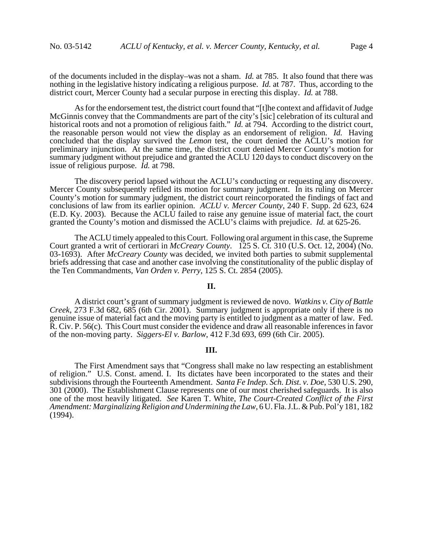of the documents included in the display–was not a sham. *Id.* at 785. It also found that there was nothing in the legislative history indicating a religious purpose. *Id.* at 787. Thus, according to the district court, Mercer County had a secular purpose in erecting this display. *Id.* at 788.

As for the endorsement test, the district court found that "[t]he context and affidavit of Judge McGinnis convey that the Commandments are part of the city's [sic] celebration of its cultural and historical roots and not a promotion of religious faith." *Id.* at 794. According to the district court, the reasonable person would not view the display as an endorsement of religion. *Id.* Having concluded that the display survived the *Lemon* test, the court denied the ACLU's motion for preliminary injunction. At the same time, the district court denied Mercer County's motion for summary judgment without prejudice and granted the ACLU 120 days to conduct discovery on the issue of religious purpose. *Id.* at 798.

The discovery period lapsed without the ACLU's conducting or requesting any discovery. Mercer County subsequently refiled its motion for summary judgment. In its ruling on Mercer County's motion for summary judgment, the district court reincorporated the findings of fact and conclusions of law from its earlier opinion. *ACLU v. Mercer County*, 240 F. Supp. 2d 623, 624 (E.D. Ky. 2003). Because the ACLU failed to raise any genuine issue of material fact, the court granted the County's motion and dismissed the ACLU's claims with prejudice. *Id.* at 625-26.

The ACLU timely appealed to this Court. Following oral argument in this case, the Supreme Court granted a writ of certiorari in *McCreary County*. 125 S. Ct. 310 (U.S. Oct. 12, 2004) (No. 03-1693). After *McCreary County* was decided, we invited both parties to submit supplemental briefs addressing that case and another case involving the constitutionality of the public display of the Ten Commandments, *Van Orden v. Perry*, 125 S. Ct. 2854 (2005).

#### **II.**

A district court's grant of summary judgment is reviewed de novo. *Watkins v. City of Battle Creek*, 273 F.3d 682, 685 (6th Cir. 2001). Summary judgment is appropriate only if there is no genuine issue of material fact and the moving party is entitled to judgment as a matter of law. Fed. R. Civ. P. 56(c). This Court must consider the evidence and draw all reasonable inferences in favor of the non-moving party. *Siggers-El v. Barlow*, 412 F.3d 693, 699 (6th Cir. 2005).

#### **III.**

The First Amendment says that "Congress shall make no law respecting an establishment of religion." U.S. Const. amend. I. Its dictates have been incorporated to the states and their subdivisions through the Fourteenth Amendment. *Santa Fe Indep. Sch. Dist. v. Doe*, 530 U.S. 290, 301 (2000). The Establishment Clause represents one of our most cherished safeguards. It is also one of the most heavily litigated. *See* Karen T. White, *The Court-Created Conflict of the First Amendment: Marginalizing Religion and Undermining the Law*, 6 U. Fla. J.L. & Pub. Pol'y 181, 182 (1994).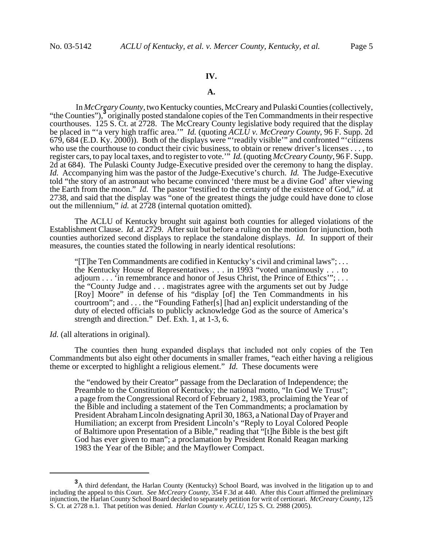### **IV.**

#### **A.**

 In *McCreary County*, two Kentucky counties, McCreary and Pulaski Counties (collectively, "the Counties"),<sup>3</sup> originally posted standalone copies of the Ten Commandments in their respective courthouses. 125 S. Ct. at 2728. The McCreary County legislative body required that the display be placed in "'a very high traffic area.'" *Id.* (quoting *ACLU v. McCreary County*, 96 F. Supp. 2d 679, 684 (E.D. Ky. 2000)). Both of the displays were "'readily visible'" and confronted "'citizens who use the courthouse to conduct their civic business, to obtain or renew driver's licenses . . . , to register cars, to pay local taxes, and to register to vote.'" *Id.* (quoting *McCreary County*, 96 F. Supp. 2d at 684). The Pulaski County Judge-Executive presided over the ceremony to hang the display. *Id.* Accompanying him was the pastor of the Judge-Executive's church. *Id.* The Judge-Executive told "the story of an astronaut who became convinced 'there must be a divine God' after viewing the Earth from the moon." *Id.* The pastor "testified to the certainty of the existence of God," *id.* at 2738, and said that the display was "one of the greatest things the judge could have done to close out the millennium," *id.* at 2728 (internal quotation omitted).

The ACLU of Kentucky brought suit against both counties for alleged violations of the Establishment Clause. *Id.* at 2729. After suit but before a ruling on the motion for injunction, both counties authorized second displays to replace the standalone displays. *Id.* In support of their measures, the counties stated the following in nearly identical resolutions:

"[T]he Ten Commandments are codified in Kentucky's civil and criminal laws"; . . . the Kentucky House of Representatives . . . in 1993 "voted unanimously . . . to adjourn . . . 'in remembrance and honor of Jesus Christ, the Prince of Ethics'"; . . . the "County Judge and . . . magistrates agree with the arguments set out by Judge [Roy] Moore" in defense of his "display [of] the Ten Commandments in his courtroom"; and . . . the "Founding Father[s] [had an] explicit understanding of the duty of elected officials to publicly acknowledge God as the source of America's strength and direction." Def. Exh. 1, at 1-3, 6.

*Id.* (all alterations in original).

The counties then hung expanded displays that included not only copies of the Ten Commandments but also eight other documents in smaller frames, "each either having a religious theme or excerpted to highlight a religious element." *Id.* These documents were

the "endowed by their Creator" passage from the Declaration of Independence; the Preamble to the Constitution of Kentucky; the national motto, "In God We Trust"; a page from the Congressional Record of February 2, 1983, proclaiming the Year of the Bible and including a statement of the Ten Commandments; a proclamation by President Abraham Lincoln designating April 30, 1863, a National Day of Prayer and Humiliation; an excerpt from President Lincoln's "Reply to Loyal Colored People of Baltimore upon Presentation of a Bible," reading that "[t]he Bible is the best gift God has ever given to man"; a proclamation by President Ronald Reagan marking 1983 the Year of the Bible; and the Mayflower Compact.

**<sup>3</sup>** A third defendant, the Harlan County (Kentucky) School Board, was involved in the litigation up to and including the appeal to this Court. *See McCreary County*, 354 F.3d at 440. After this Court affirmed the preliminary injunction, the Harlan County School Board decided to separately petition for writ of certiorari. *McCreary County*, 125 S. Ct. at 2728 n.1. That petition was denied. *Harlan County v. ACLU*, 125 S. Ct. 2988 (2005).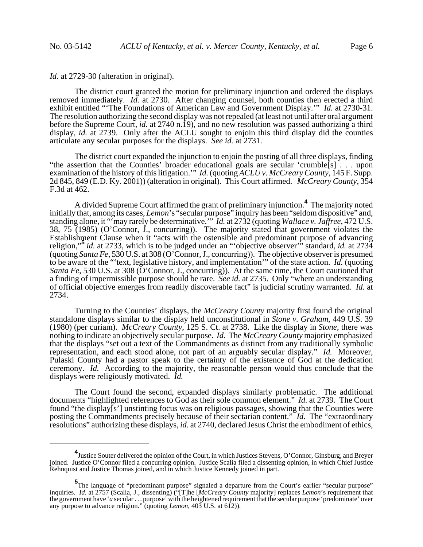*Id.* at 2729-30 (alteration in original).

The district court granted the motion for preliminary injunction and ordered the displays removed immediately. *Id.* at 2730. After changing counsel, both counties then erected a third exhibit entitled "'The Foundations of American Law and Government Display.'" *Id.* at 2730-31. The resolution authorizing the second display was not repealed (at least not until after oral argument before the Supreme Court, *id.* at 2740 n.19), and no new resolution was passed authorizing a third display, *id.* at 2739. Only after the ACLU sought to enjoin this third display did the counties articulate any secular purposes for the displays. *See id.* at 2731.

The district court expanded the injunction to enjoin the posting of all three displays, finding "the assertion that the Counties' broader educational goals are secular 'crumble[s] . . . upon examination of the history of this litigation.'" *Id.* (quoting *ACLU v. McCreary County*, 145 F. Supp. 2d 845, 849 (E.D. Ky. 2001)) (alteration in original). This Court affirmed. *McCreary County*, 354 F.3d at 462.

A divided Supreme Court affirmed the grant of preliminary injunction.**<sup>4</sup>** The majority noted initially that, among its cases, *Lemon*'s "secular purpose" inquiry has been "seldom dispositive" and, standing alone, it "'may rarely be determinative.'" *Id.* at 2732 (quoting *Wallace v. Jaffree*, 472 U.S. 38, 75 (1985) (O'Connor, J., concurring)). The majority stated that government violates the Establishment Clause when it "acts with the ostensible and predominant purpose of advancing religion,"**<sup>5</sup>** *id.* at 2733, which is to be judged under an "'objective observer'" standard, *id.* at 2734 (quoting *Santa Fe*, 530 U.S. at 308 (O'Connor, J., concurring)). The objective observer is presumed to be aware of the "'text, legislative history, and implementation'" of the state action. *Id.* (quoting *Santa Fe*, 530 U.S. at 308 (O'Connor, J., concurring)). At the same time, the Court cautioned that a finding of impermissible purpose should be rare. *See id.* at 2735. Only "where an understanding of official objective emerges from readily discoverable fact" is judicial scrutiny warranted. *Id.* at 2734.

Turning to the Counties' displays, the *McCreary County* majority first found the original standalone displays similar to the display held unconstitutional in *Stone v. Graham*, 449 U.S. 39 (1980) (per curiam). *McCreary County*, 125 S. Ct. at 2738. Like the display in *Stone*, there was nothing to indicate an objectively secular purpose. *Id.* The *McCreary County* majority emphasized that the displays "set out a text of the Commandments as distinct from any traditionally symbolic representation, and each stood alone, not part of an arguably secular display." *Id.* Moreover, Pulaski County had a pastor speak to the certainty of the existence of God at the dedication ceremony. *Id.* According to the majority, the reasonable person would thus conclude that the displays were religiously motivated. *Id.*

The Court found the second, expanded displays similarly problematic. The additional documents "highlighted references to God as their sole common element." *Id.* at 2739. The Court found "the display[s'] unstinting focus was on religious passages, showing that the Counties were posting the Commandments precisely because of their sectarian content." *Id.* The "extraordinary resolutions" authorizing these displays, *id.* at 2740, declared Jesus Christ the embodiment of ethics,

**<sup>4</sup>** Justice Souter delivered the opinion of the Court, in which Justices Stevens, O'Connor, Ginsburg, and Breyer joined. Justice O'Connor filed a concurring opinion. Justice Scalia filed a dissenting opinion, in which Chief Justice Rehnquist and Justice Thomas joined, and in which Justice Kennedy joined in part.

**<sup>5</sup>**<br>The language of "predominant purpose" signaled a departure from the Court's earlier "secular purpose" inquiries. *Id.* at 2757 (Scalia, J., dissenting) ("[T]he [*McCreary County* majority] replaces *Lemon*'s requirement that the government have '*a* secular . . . purpose' with the heightened requirement that the secular purpose 'predominate' over any purpose to advance religion." (quoting *Lemon*, 403 U.S. at 612)).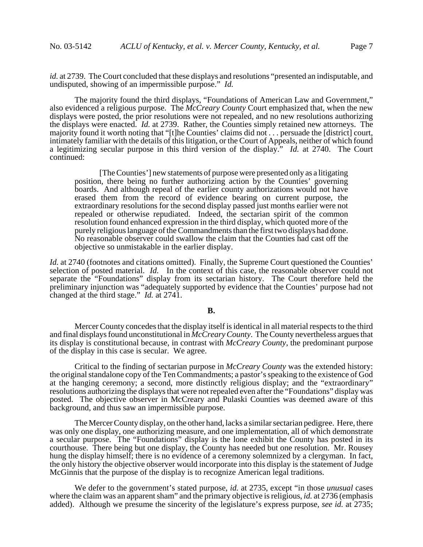*id.* at 2739. The Court concluded that these displays and resolutions "presented an indisputable, and undisputed, showing of an impermissible purpose." *Id.*

The majority found the third displays, "Foundations of American Law and Government," also evidenced a religious purpose. The *McCreary County* Court emphasized that, when the new displays were posted, the prior resolutions were not repealed, and no new resolutions authorizing the displays were enacted. *Id.* at 2739. Rather, the Counties simply retained new attorneys. The majority found it worth noting that "[t]he Counties' claims did not . . . persuade the [district] court, intimately familiar with the details of this litigation, or the Court of Appeals, neither of which found a legitimizing secular purpose in this third version of the display." *Id.* at 2740. The Court continued:

[The Counties'] new statements of purpose were presented only as a litigating position, there being no further authorizing action by the Counties' governing boards. And although repeal of the earlier county authorizations would not have erased them from the record of evidence bearing on current purpose, the extraordinary resolutions for the second display passed just months earlier were not repealed or otherwise repudiated. Indeed, the sectarian spirit of the common resolution found enhanced expression in the third display, which quoted more of the purely religious language of the Commandments than the first two displays had done. No reasonable observer could swallow the claim that the Counties had cast off the objective so unmistakable in the earlier display.

*Id.* at 2740 (footnotes and citations omitted). Finally, the Supreme Court questioned the Counties' selection of posted material. *Id.* In the context of this case, the reasonable observer could not separate the "Foundations" display from its sectarian history. The Court therefore held the preliminary injunction was "adequately supported by evidence that the Counties' purpose had not changed at the third stage." *Id.* at 2741.

#### **B.**

Mercer County concedes that the display itself is identical in all material respects to the third and final displays found unconstitutional in *McCreary County*. The County nevertheless argues that its display is constitutional because, in contrast with *McCreary County*, the predominant purpose of the display in this case is secular. We agree.

Critical to the finding of sectarian purpose in *McCreary County* was the extended history: the original standalone copy of the Ten Commandments; a pastor's speaking to the existence of God at the hanging ceremony; a second, more distinctly religious display; and the "extraordinary" resolutions authorizing the displays that were not repealed even after the "Foundations" display was posted. The objective observer in McCreary and Pulaski Counties was deemed aware of this background, and thus saw an impermissible purpose.

The Mercer County display, on the other hand, lacks a similar sectarian pedigree. Here, there was only one display, one authorizing measure, and one implementation, all of which demonstrate a secular purpose. The "Foundations" display is the lone exhibit the County has posted in its courthouse. There being but one display, the County has needed but one resolution. Mr. Rousey hung the display himself; there is no evidence of a ceremony solemnized by a clergyman. In fact, the only history the objective observer would incorporate into this display is the statement of Judge McGinnis that the purpose of the display is to recognize American legal traditions.

We defer to the government's stated purpose, *id.* at 2735, except "in those *unusual* cases where the claim was an apparent sham" and the primary objective is religious, *id.* at 2736 (emphasis added). Although we presume the sincerity of the legislature's express purpose, *see id.* at 2735;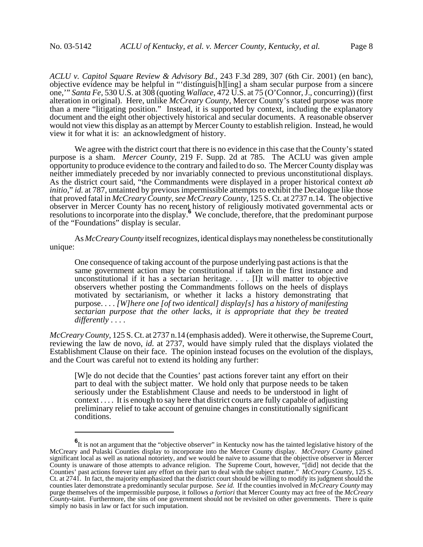*ACLU v. Capitol Square Review & Advisory Bd.*, 243 F.3d 289, 307 (6th Cir. 2001) (en banc), objective evidence may be helpful in "'distinguis[h][ing] a sham secular purpose from a sincere one,'" *Santa Fe*, 530 U.S. at 308 (quoting *Wallace*, 472 U.S. at 75 (O'Connor, J., concurring)) (first alteration in original). Here, unlike *McCreary County*, Mercer County's stated purpose was more than a mere "litigating position." Instead, it is supported by context, including the explanatory document and the eight other objectively historical and secular documents. A reasonable observer would not view this display as an attempt by Mercer County to establish religion. Instead, he would view it for what it is: an acknowledgment of history.

We agree with the district court that there is no evidence in this case that the County's stated purpose is a sham. *Mercer County*, 219 F. Supp. 2d at 785. The ACLU was given ample opportunity to produce evidence to the contrary and failed to do so. The Mercer County display was neither immediately preceded by nor invariably connected to previous unconstitutional displays. As the district court said, "the Commandments were displayed in a proper historical context *ab initio*," *id.* at 787, untainted by previous impermissible attempts to exhibit the Decalogue like those that proved fatal in *McCreary County*, *see McCreary County*, 125 S. Ct. at 2737 n.14. The objective observer in Mercer County has no recent history of religiously motivated governmental acts or resolutions to incorporate into the display.<sup>6</sup> We conclude, therefore, that the predominant purpose of the "Foundations" display is secular.

As *McCreary County* itself recognizes, identical displays may nonetheless be constitutionally unique:

One consequence of taking account of the purpose underlying past actions is that the same government action may be constitutional if taken in the first instance and unconstitutional if it has a sectarian heritage. . . . [I]t will matter to objective observers whether posting the Commandments follows on the heels of displays motivated by sectarianism, or whether it lacks a history demonstrating that purpose. . . . *[W]here one [of two identical] display[s] has a history of manifesting sectarian purpose that the other lacks, it is appropriate that they be treated differently* . . . .

*McCreary County*, 125 S. Ct. at 2737 n.14 (emphasis added). Were it otherwise, the Supreme Court, reviewing the law de novo, *id.* at 2737, would have simply ruled that the displays violated the Establishment Clause on their face. The opinion instead focuses on the evolution of the displays, and the Court was careful not to extend its holding any further:

[W]e do not decide that the Counties' past actions forever taint any effort on their part to deal with the subject matter. We hold only that purpose needs to be taken seriously under the Establishment Clause and needs to be understood in light of context . . . . It is enough to say here that district courts are fully capable of adjusting preliminary relief to take account of genuine changes in constitutionally significant conditions.

**<sup>6</sup>** It is not an argument that the "objective observer" in Kentucky now has the tainted legislative history of the McCreary and Pulaski Counties display to incorporate into the Mercer County display. *McCreary County* gained significant local as well as national notoriety, and we would be naive to assume that the objective observer in Mercer County is unaware of those attempts to advance religion. The Supreme Court, however, "[did] not decide that the Counties' past actions forever taint any effort on their part to deal with the subject matter." *McCreary County*, 125 S. Ct. at 2741. In fact, the majority emphasized that the district court should be willing to modify its judgment should the counties later demonstrate a predominantly secular purpose. *See id.* If the counties involved in *McCreary County* may purge themselves of the impermissible purpose, it follows *a fortiori* that Mercer County may act free of the *McCreary County*-taint. Furthermore, the sins of one government should not be revisited on other governments. There is quite simply no basis in law or fact for such imputation.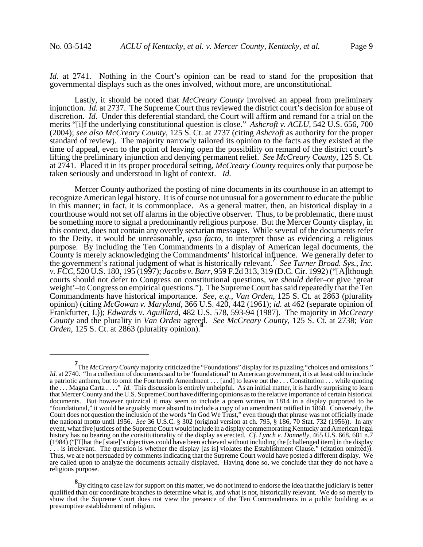*Id.* at 2741. Nothing in the Court's opinion can be read to stand for the proposition that governmental displays such as the ones involved, without more, are unconstitutional.

Lastly, it should be noted that *McCreary County* involved an appeal from preliminary injunction. *Id.* at 2737. The Supreme Court thus reviewed the district court's decision for abuse of discretion. *Id.* Under this deferential standard, the Court will affirm and remand for a trial on the merits "[i]f the underlying constitutional question is close." *Ashcroft v. ACLU*, 542 U.S. 656, 700 (2004); *see also McCreary County*, 125 S. Ct. at 2737 (citing *Ashcroft* as authority for the proper standard of review). The majority narrowly tailored its opinion to the facts as they existed at the time of appeal, even to the point of leaving open the possibility on remand of the district court's lifting the preliminary injunction and denying permanent relief. *See McCreary County*, 125 S. Ct. at 2741. Placed it in its proper procedural setting, *McCreary County* requires only that purpose be taken seriously and understood in light of context. *Id.*

Mercer County authorized the posting of nine documents in its courthouse in an attempt to recognize American legal history. It is of course not unusual for a government to educate the public in this manner; in fact, it is commonplace. As a general matter, then, an historical display in a courthouse would not set off alarms in the objective observer. Thus, to be problematic, there must be something more to signal a predominantly religious purpose. But the Mercer County display, in this context, does not contain any overtly sectarian messages. While several of the documents refer to the Deity, it would be unreasonable, *ipso facto*, to interpret those as evidencing a religious purpose. By including the Ten Commandments in a display of American legal documents, the County is merely acknowledging the Commandments' historical influence. We generally defer to the government's rational judgment of what is historically relevant.**<sup>7</sup>** *See Turner Broad. Sys., Inc. v. FCC*, 520 U.S. 180, 195 (1997); *Jacobs v. Barr*, 959 F.2d 313, 319 (D.C. Cir. 1992) ("[A]lthough courts should not defer to Congress on constitutional questions, we *should* defer–or give 'great weight'–to Congress on empirical questions."). The Supreme Court has said repeatedly that the Ten Commandments have historical importance. *See, e.g.*, *Van Orden*, 125 S. Ct. at 2863 (plurality opinion) (citing *McGowan v. Maryland*, 366 U.S. 420, 442 (1961); *id.* at 462 (separate opinion of Frankfurter, J.)); *Edwards v. Aguillard*, 482 U.S. 578, 593-94 (1987). The majority in *McCreary County* and the plurality in *Van Orden* agreed. *See McCreary County*, 125 S. Ct. at 2738; *Van Orden*, 125 S. Ct. at 2863 (plurality opinion).**<sup>8</sup>**

**<sup>7</sup>** The *McCreary County* majority criticized the "Foundations" display for its puzzling "choices and omissions." *Id.* at 2740. "In a collection of documents said to be 'foundational' to American government, it is at least odd to include a patriotic anthem, but to omit the Fourteenth Amendment . . . [and] to leave out the . . . Constitution . . . while quoting the . . . Magna Carta . . . ." *Id.* This discussion is entirely unhelpful. As an initial matter, it is hardly surprising to learn that Mercer County and the U.S. Supreme Court have differing opinions as to the relative importance of certain historical documents. But however quizzical it may seem to include a poem written in 1814 in a display purported to be "foundational," it would be arguably more absurd to include a copy of an amendment ratified in 1868. Conversely, the Court does not question the inclusion of the words "In God We Trust," even though that phrase was not officially made the national motto until 1956. *See* 36 U.S.C. § 302 (original version at ch. 795, § 186, 70 Stat. 732 (1956)). In any event, what five justices of the Supreme Court would include in a display commemorating Kentucky and American legal history has no bearing on the constitutionality of the display as erected. *Cf. Lynch v. Donnelly*, 465 U.S. 668, 681 n.7 (1984) ("[T]hat the [state]'s objectives could have been achieved without including the [challenged item] in the display . . . is irrelevant. The question is whether the display [as is] violates the Establishment Clause." (citation omitted)). Thus, we are not persuaded by comments indicating that the Supreme Court would have posted a different display. We are called upon to analyze the documents actually displayed. Having done so, we conclude that they do not have a religious purpose.

**<sup>8</sup>** By citing to case law for support on this matter, we do not intend to endorse the idea that the judiciary is better qualified than our coordinate branches to determine what is, and what is not, historically relevant. We do so merely to show that the Supreme Court does not view the presence of the Ten Commandments in a public building as a presumptive establishment of religion.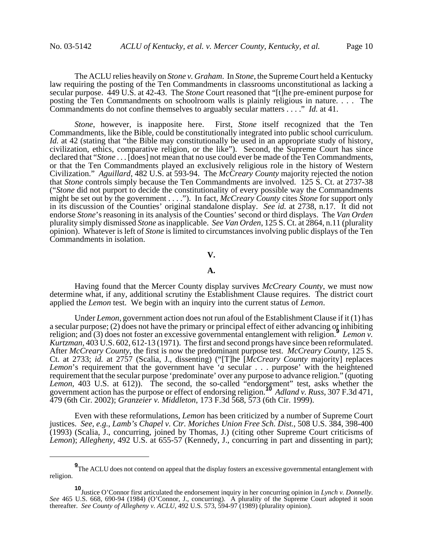The ACLU relies heavily on *Stone v. Graham*. In *Stone*, the Supreme Court held a Kentucky law requiring the posting of the Ten Commandments in classrooms unconstitutional as lacking a secular purpose. 449 U.S. at 42-43. The *Stone* Court reasoned that "[t]he pre-eminent purpose for posting the Ten Commandments on schoolroom walls is plainly religious in nature. . . . The Commandments do not confine themselves to arguably secular matters . . . ." *Id.* at 41.

*Stone*, however, is inapposite here. First, *Stone* itself recognized that the Ten Commandments, like the Bible, could be constitutionally integrated into public school curriculum. *Id.* at 42 (stating that "the Bible may constitutionally be used in an appropriate study of history, civilization, ethics, comparative religion, or the like"). Second, the Supreme Court has since declared that "*Stone* . . . [does] not mean that no use could ever be made of the Ten Commandments, or that the Ten Commandments played an exclusively religious role in the history of Western Civilization." *Aguillard*, 482 U.S. at 593-94. The *McCreary County* majority rejected the notion that *Stone* controls simply because the Ten Commandments are involved. 125 S. Ct. at 2737-38 ("*Stone* did not purport to decide the constitutionality of every possible way the Commandments might be set out by the government . . . ."). In fact, *McCreary County* cites *Stone* for support only in its discussion of the Counties' original standalone display. *See id.* at 2738, n.17. It did not endorse *Stone*'s reasoning in its analysis of the Counties' second or third displays. The *Van Orden* plurality simply dismissed *Stone* as inapplicable. *See Van Orden*, 125 S. Ct. at 2864, n.11 (plurality opinion). Whatever is left of *Stone* is limited to circumstances involving public displays of the Ten Commandments in isolation.

**V.**

#### **A.**

Having found that the Mercer County display survives *McCreary County*, we must now determine what, if any, additional scrutiny the Establishment Clause requires. The district court applied the *Lemon* test. We begin with an inquiry into the current status of *Lemon*.

Under *Lemon*, government action does not run afoul of the Establishment Clause if it (1) has a secular purpose; (2) does not have the primary or principal effect of either advancing or inhibiting religion; and (3) does not foster an excessive governmental entanglement with religion.**<sup>9</sup>** *Lemon v. Kurtzman*, 403 U.S. 602, 612-13 (1971). The first and second prongs have since been reformulated. After *McCreary County*, the first is now the predominant purpose test. *McCreary County*, 125 S. Ct. at 2733; *id.* at 2757 (Scalia, J., dissenting) ("[T]he [*McCreary County* majority] replaces *Lemon*'s requirement that the government have '*a* secular . . . purpose' with the heightened requirement that the secular purpose 'predominate' over any purpose to advance religion." (quoting Lemon, 403 U.S. at 612)). The second, the so-called "endorsement" test, asks whether the government action has the purpose or effect of endorsing religion.**<sup>10</sup>** *Adland v. Russ*, 307 F.3d 471, 479 (6th Cir. 2002); *Granzeier v. Middleton*, 173 F.3d 568, 573 (6th Cir. 1999).

Even with these reformulations, *Lemon* has been criticized by a number of Supreme Court justices. *See, e.g.*, *Lamb's Chapel v. Ctr. Moriches Union Free Sch. Dist.*, 508 U.S. 384, 398-400 (1993) (Scalia, J., concurring, joined by Thomas, J.) (citing other Supreme Court criticisms of *Lemon*); *Allegheny*, 492 U.S. at 655-57 (Kennedy, J., concurring in part and dissenting in part);

**<sup>9</sup>**<br>The ACLU does not contend on appeal that the display fosters an excessive governmental entanglement with religion.

**<sup>10</sup>** Justice O'Connor first articulated the endorsement inquiry in her concurring opinion in Lynch v. Donnelly. See 465 U.S. 668, 690-94 (1984) (O'Connor, J., concurring). A plurality of the Supreme Court adopted it soon thereafter. *See County of Allegheny v. ACLU*, 492 U.S. 573, 594-97 (1989) (plurality opinion).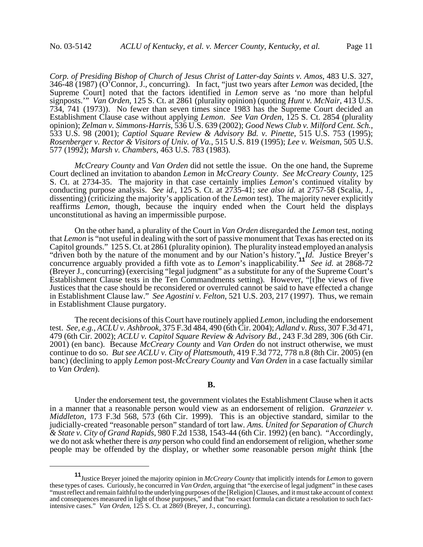*Corp. of Presiding Bishop of Church of Jesus Christ of Latter-day Saints v. Amos*, 483 U.S. 327, 346-48 (1987) (O'Connor, J., concurring). In fact, "just two years after *Lemon* was decided, [the Supreme Court] noted that the factors identified in *Lemon* serve as 'no more than helpful signposts.'" *Van Orden*, 125 S. Ct. at 2861 (plurality opinion) (quoting *Hunt v. McNair*, 413 U.S. 734, 741 (1973)). No fewer than seven times since 1983 has the Supreme Court decided an Establishment Clause case without applying *Lemon*. *See Van Orden*, 125 S. Ct. 2854 (plurality opinion); *Zelman v. Simmons-Harris*, 536 U.S. 639 (2002); *Good News Club v. Milford Cent. Sch.*, 533 U.S. 98 (2001); *Captiol Square Review & Advisory Bd. v. Pinette*, 515 U.S. 753 (1995); *Rosenberger v. Rector & Visitors of Univ. of Va.*, 515 U.S. 819 (1995); *Lee v. Weisman*, 505 U.S. 577 (1992); *Marsh v. Chambers*, 463 U.S. 783 (1983).

*McCreary County* and *Van Orden* did not settle the issue. On the one hand, the Supreme Court declined an invitation to abandon *Lemon* in *McCreary County*. *See McCreary County*, 125 S. Ct. at 2734-35. The majority in that case certainly implies *Lemon*'s continued vitality by conducting purpose analysis. *See id.*, 125 S. Ct. at 2735-41; *see also id.* at 2757-58 (Scalia, J., dissenting) (criticizing the majority's application of the *Lemon* test). The majority never explicitly reaffirms *Lemon*, though, because the inquiry ended when the Court held the displays unconstitutional as having an impermissible purpose.

On the other hand, a plurality of the Court in *Van Orden* disregarded the *Lemon* test, noting that *Lemon* is "not useful in dealing with the sort of passive monument that Texas has erected on its Capitol grounds." 125 S. Ct. at 2861 (plurality opinion). The plurality instead employed an analysis "driven both by the nature of the monument and by our Nation's history." *Id.* Justice Breyer's concurrence arguably provided a fifth vote as to *Lemon*'s inapplicability.**<sup>11</sup>** *See id.* at 2868-72 (Breyer J., concurring) (exercising "legal judgment" as a substitute for any of the Supreme Court's Establishment Clause tests in the Ten Commandments setting). However, "[t]he views of five Justices that the case should be reconsidered or overruled cannot be said to have effected a change in Establishment Clause law." *See Agostini v. Felton*, 521 U.S. 203, 217 (1997). Thus, we remain in Establishment Clause purgatory.

The recent decisions of this Court have routinely applied *Lemon*, including the endorsement test. *See, e.g.*, *ACLU v. Ashbrook*, 375 F.3d 484, 490 (6th Cir. 2004); *Adland v. Russ*, 307 F.3d 471, 479 (6th Cir. 2002); *ACLU v. Capitol Square Review & Advisory Bd.*, 243 F.3d 289, 306 (6th Cir. 2001) (en banc). Because *McCreary County* and *Van Orden* do not instruct otherwise, we must continue to do so. *But see ACLU v. City of Plattsmouth*, 419 F.3d 772, 778 n.8 (8th Cir. 2005) (en banc) (declining to apply *Lemon* post-*McCreary County* and *Van Orden* in a case factually similar to *Van Orden*).

Under the endorsement test, the government violates the Establishment Clause when it acts in a manner that a reasonable person would view as an endorsement of religion. *Granzeier v. Middleton*, 173 F.3d 568, 573 (6th Cir. 1999). This is an objective standard, similar to the judicially-created "reasonable person" standard of tort law. *Ams. United for Separation of Church & State v. City of Grand Rapids*, 980 F.2d 1538, 1543-44 (6th Cir. 1992) (en banc). "Accordingly, we do not ask whether there is *any* person who could find an endorsement of religion, whether *some* people may be offended by the display, or whether *some* reasonable person *might* think [the

**<sup>11</sup>**Justice Breyer joined the majority opinion in *McCreary County* that implicitly intends for *Lemon* to govern these types of cases. Curiously, he concurred in *Van Orden*, arguing that "the exercise of legal judgment" in these cases "must reflect and remain faithful to the underlying purposes of the [Religion] Clauses, and it must take account of context and consequences measured in light of those purposes," and that "no exact formula can dictate a resolution to such factintensive cases." *Van Orden*, 125 S. Ct. at 2869 (Breyer, J., concurring).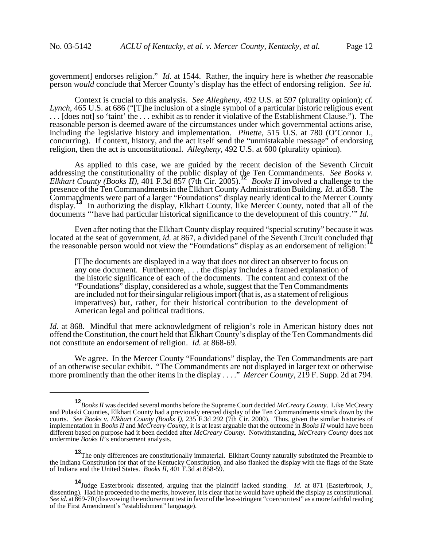government] endorses religion." *Id.* at 1544. Rather, the inquiry here is whether *the* reasonable person *would* conclude that Mercer County's display has the effect of endorsing religion. *See id.*

Context is crucial to this analysis. *See Allegheny*, 492 U.S. at 597 (plurality opinion); *cf. Lynch*, 465 U.S. at 686 ("[T]he inclusion of a single symbol of a particular historic religious event . . . [does not] so 'taint' the . . . exhibit as to render it violative of the Establishment Clause."). The reasonable person is deemed aware of the circumstances under which governmental actions arise, including the legislative history and implementation. *Pinette*, 515 U.S. at 780 (O'Connor J., concurring). If context, history, and the act itself send the "unmistakable message" of endorsing religion, then the act is unconstitutional. *Allegheny*, 492 U.S. at 600 (plurality opinion).

As applied to this case, we are guided by the recent decision of the Seventh Circuit addressing the constitutionality of the public display of the Ten Commandments. *See Books v. Elkhart County (Books II)*, 401 F.3d 857 (7th Cir. 2005).**<sup>12</sup>** *Books II* involved a challenge to the presence of the Ten Commandments in the Elkhart County Administration Building. *Id.* at 858. The Commandments were part of a larger "Foundations" display nearly identical to the Mercer County display.**<sup>13</sup>** In authorizing the display, Elkhart County, like Mercer County, noted that all of the documents "'have had particular historical significance to the development of this country.'" *Id.*

Even after noting that the Elkhart County display required "special scrutiny" because it was located at the seat of government, *id.* at 867, a divided panel of the Seventh Circuit concluded that the reasonable person would not view the "Foundations" display as an endorsement of religion:**<sup>14</sup>**

[T]he documents are displayed in a way that does not direct an observer to focus on any one document. Furthermore, . . . the display includes a framed explanation of the historic significance of each of the documents. The content and context of the "Foundations" display, considered as a whole, suggest that the Ten Commandments are included not for their singular religious import (that is, as a statement of religious imperatives) but, rather, for their historical contribution to the development of American legal and political traditions.

*Id.* at 868. Mindful that mere acknowledgment of religion's role in American history does not offend the Constitution, the court held that Elkhart County's display of the Ten Commandments did not constitute an endorsement of religion. *Id.* at 868-69.

We agree. In the Mercer County "Foundations" display, the Ten Commandments are part of an otherwise secular exhibit. "The Commandments are not displayed in larger text or otherwise more prominently than the other items in the display . . . ." *Mercer County*, 219 F. Supp. 2d at 794.

**<sup>12</sup>***Books II* was decided several months before the Supreme Court decided *McCreary County*. Like McCreary and Pulaski Counties, Elkhart County had a previously erected display of the Ten Commandments struck down by the courts. *See Books v. Elkhart County (Books I)*, 235 F.3d 292 (7th Cir. 2000). Thus, given the similar histories of implementation in *Books II* and *McCreary County*, it is at least arguable that the outcome in *Books II* would have been different based on purpose had it been decided after *McCreary County*. Notwithstanding, *McCreary County* does not undermine *Books II*'s endorsement analysis.

**<sup>13</sup>**The only differences are constitutionally immaterial. Elkhart County naturally substituted the Preamble to the Indiana Constitution for that of the Kentucky Constitution, and also flanked the display with the flags of the State of Indiana and the United States. *Books II*, 401 F.3d at 858-59.

**<sup>14</sup>**Judge Easterbrook dissented, arguing that the plaintiff lacked standing. *Id.* at 871 (Easterbrook, J., dissenting). Had he proceeded to the merits, however, it is clear that he would have upheld the display as constitutional. *See id.* at 869-70 (disavowing the endorsement test in favor of the less-stringent "coercion test" as a more faithful reading of the First Amendment's "establishment" language).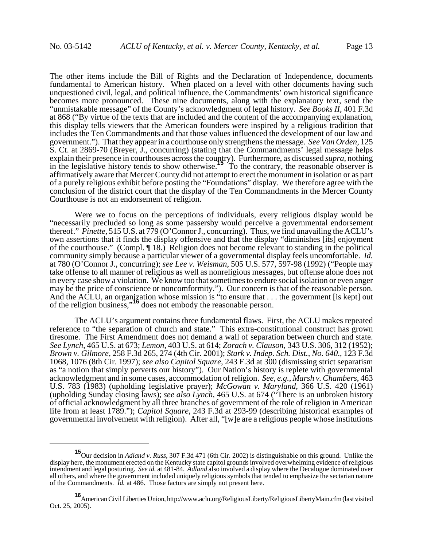The other items include the Bill of Rights and the Declaration of Independence, documents fundamental to American history. When placed on a level with other documents having such unquestioned civil, legal, and political influence, the Commandments' own historical significance becomes more pronounced. These nine documents, along with the explanatory text, send the "unmistakable message" of the County's acknowledgment of legal history. *See Books II*, 401 F.3d at 868 ("By virtue of the texts that are included and the content of the accompanying explanation, this display tells viewers that the American founders were inspired by a religious tradition that includes the Ten Commandments and that those values influenced the development of our law and government."). That they appear in a courthouse only strengthens the message. *See Van Orden*, 125 S. Ct. at 2869-70 (Breyer, J., concurring) (stating that the Commandments' legal message helps explain their presence in courthouses across the country). Furthermore, as discussed *supra*, nothing in the legislative history tends to show otherwise.<sup>15</sup> To the contrary, the reasonable observer is affirmatively aware that Mercer County did not attempt to erect the monument in isolation or as part of a purely religious exhibit before posting the "Foundations" display. We therefore agree with the conclusion of the district court that the display of the Ten Commandments in the Mercer County Courthouse is not an endorsement of religion.

Were we to focus on the perceptions of individuals, every religious display would be "necessarily precluded so long as some passersby would perceive a governmental endorsement thereof." *Pinette*, 515 U.S. at 779 (O'Connor J., concurring). Thus, we find unavailing the ACLU's own assertions that it finds the display offensive and that the display "diminishes [its] enjoyment of the courthouse." (Compl. ¶ 18.) Religion does not become relevant to standing in the political community simply because a particular viewer of a governmental display feels uncomfortable. *Id.* at 780 (O'Connor J., concurring); *see Lee v. Weisman*, 505 U.S. 577, 597-98 (1992) ("People may take offense to all manner of religious as well as nonreligious messages, but offense alone does not in every case show a violation. We know too that sometimes to endure social isolation or even anger may be the price of conscience or noncomformity."). Our concern is that of the reasonable person. And the ACLU, an organization whose mission is "to ensure that . . . the government [is kept] out of the religion business,"**<sup>16</sup>** does not embody the reasonable person.

The ACLU's argument contains three fundamental flaws. First, the ACLU makes repeated reference to "the separation of church and state." This extra-constitutional construct has grown tiresome. The First Amendment does not demand a wall of separation between church and state. *See Lynch*, 465 U.S. at 673; *Lemon*, 403 U.S. at 614; *Zorach v. Clauson*, 343 U.S. 306, 312 (1952); *Brown v. Gilmore*, 258 F.3d 265, 274 (4th Cir. 2001); *Stark v. Indep. Sch. Dist., No. 640*., 123 F.3d 1068, 1076 (8th Cir. 1997); *see also Capitol Square*, 243 F.3d at 300 (dismissing strict separatism as "a notion that simply perverts our history"). Our Nation's history is replete with governmental acknowledgment and in some cases, accommodation of religion. *See, e.g.*, *Marsh v. Chambers*, 463 U.S. 783 (1983) (upholding legislative prayer); *McGowan v. Maryland*, 366 U.S. 420 (1961) (upholding Sunday closing laws); *see also Lynch*, 465 U.S. at 674 ("There is an unbroken history of official acknowledgment by all three branches of government of the role of religion in American life from at least 1789."); *Capitol Square*, 243 F.3d at 293-99 (describing historical examples of governmental involvement with religion). After all, "[w]e are a religious people whose institutions

**<sup>15</sup>**Our decision in *Adland v. Russ*, 307 F.3d 471 (6th Cir. 2002) is distinguishable on this ground. Unlike the display here, the monument erected on the Kentucky state capitol grounds involved overwhelming evidence of religious intendment and legal posturing*. See id.* at 481-84. *Adland* also involved a display where the Decalogue dominated over all others, and where the government included uniquely religious symbols that tended to emphasize the sectarian nature of the Commandments. *Id.* at 486. Those factors are simply not present here.

**<sup>16</sup>**American Civil Liberties Union, http://www.aclu.org/ReligiousLiberty/ReligiousLibertyMain.cfm (last visited Oct. 25, 2005).